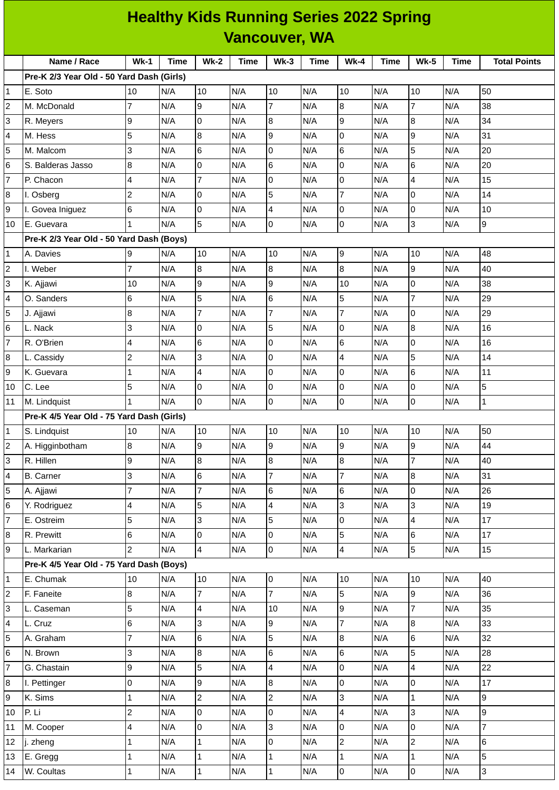|                         | <b>Healthy Kids Running Series 2022 Spring</b> |                |      |                         |             |                         |             |                         |      |                |      |                     |  |
|-------------------------|------------------------------------------------|----------------|------|-------------------------|-------------|-------------------------|-------------|-------------------------|------|----------------|------|---------------------|--|
|                         | <b>Vancouver, WA</b>                           |                |      |                         |             |                         |             |                         |      |                |      |                     |  |
|                         | Name / Race                                    | $Wk-1$         | Time | $Wk-2$                  | <b>Time</b> | Wk-3                    | <b>Time</b> | <b>Wk-4</b>             | Time | $Wk-5$         | Time | <b>Total Points</b> |  |
|                         | Pre-K 2/3 Year Old - 50 Yard Dash (Girls)      |                |      |                         |             |                         |             |                         |      |                |      |                     |  |
| $\mathbf{1}$            | E. Soto                                        | 10             | N/A  | 10                      | N/A         | 10                      | N/A         | 10                      | N/A  | 10             | N/A  | 50                  |  |
| $\overline{c}$          | M. McDonald                                    | $\overline{7}$ | N/A  | g                       | N/A         | $\overline{7}$          | N/A         | $8\,$                   | N/A  | $\overline{7}$ | N/A  | 38                  |  |
| 3                       | R. Meyers                                      | 9              | N/A  | Iо                      | N/A         | 8                       | N/A         | 9                       | N/A  | 8              | N/A  | 34                  |  |
| 4                       | M. Hess                                        | 5              | N/A  | 8                       | N/A         | 9                       | N/A         | $\mathsf 0$             | N/A  | 9              | N/A  | 31                  |  |
| 5                       | M. Malcom                                      | 3              | N/A  | $6\overline{6}$         | N/A         | 0                       | N/A         | $6\phantom{a}$          | N/A  | 5              | N/A  | 20                  |  |
| 6                       | S. Balderas Jasso                              | $\, 8$         | N/A  | Iо                      | N/A         | 6                       | N/A         | $\mathsf 0$             | N/A  | 6              | N/A  | 20                  |  |
| $\overline{7}$          | P. Chacon                                      | 4              | N/A  | $\overline{7}$          | N/A         | 0                       | N/A         | 0                       | N/A  | $\overline{4}$ | N/A  | 15                  |  |
| 8                       | I. Osberg                                      | $\overline{c}$ | N/A  | Iо                      | N/A         | 5                       | N/A         | $\overline{7}$          | N/A  | 0              | N/A  | 14                  |  |
| 9                       | I. Govea Iniguez                               | 6              | N/A  | Iо                      | N/A         | 4                       | N/A         | 0                       | N/A  | 0              | N/A  | 10                  |  |
| 10                      | E. Guevara                                     | $\mathbf{1}$   | N/A  | 5                       | N/A         | 0                       | N/A         | 0                       | N/A  | 3              | N/A  | 9                   |  |
|                         | Pre-K 2/3 Year Old - 50 Yard Dash (Boys)       |                |      |                         |             |                         |             |                         |      |                |      |                     |  |
| 1                       | A. Davies                                      | 9              | N/A  | 10                      | N/A         | 10                      | N/A         | 9                       | N/A  | 10             | N/A  | 48                  |  |
| $\overline{c}$          | I. Weber                                       | $\overline{7}$ | N/A  | $\overline{8}$          | N/A         | 8                       | N/A         | $\bf{8}$                | N/A  | 9              | N/A  | 40                  |  |
| 3                       | K. Ajjawi                                      | 10             | N/A  | l9                      | N/A         | 9                       | N/A         | 10                      | N/A  | 0              | N/A  | 38                  |  |
| 4                       | O. Sanders                                     | 6              | N/A  | 5                       | N/A         | 6                       | N/A         | 5                       | N/A  | 7              | N/A  | 29                  |  |
| 5                       | J. Ajjawi                                      | 8              | N/A  | $\overline{7}$          | N/A         | $\overline{7}$          | N/A         | $\overline{7}$          | N/A  | 0              | N/A  | 29                  |  |
| 6                       | L. Nack                                        | 3              | N/A  | Iо                      | N/A         | 5                       | N/A         | 0                       | N/A  | 8              | N/A  | 16                  |  |
| $\overline{7}$          | R. O'Brien                                     | 4              | N/A  | $6\phantom{.}6$         | N/A         | 0                       | N/A         | $\,6$                   | N/A  | 0              | N/A  | 16                  |  |
| 8                       | L. Cassidy                                     | $\overline{c}$ | N/A  | $\overline{3}$          | N/A         | 0                       | N/A         | $\overline{\mathbf{4}}$ | N/A  | 5              | N/A  | 14                  |  |
| 9                       | K. Guevara                                     | $\mathbf{1}$   | N/A  | $\overline{4}$          | N/A         | 0                       | N/A         | 0                       | N/A  | 6              | N/A  | 11                  |  |
| 10                      | C. Lee                                         | 5              | N/A  | lo                      | N/A         | 0                       | N/A         | $\mathsf 0$             | N/A  | 0              | N/A  | 5                   |  |
| 11                      | M. Lindquist                                   | $\mathbf{1}$   | N/A  | Iо                      | N/A         | 0                       | N/A         | 0                       | N/A  | 0              | N/A  | $\mathbf{1}$        |  |
|                         | Pre-K 4/5 Year Old - 75 Yard Dash (Girls)      |                |      |                         |             |                         |             |                         |      |                |      |                     |  |
| $\mathbf 1$             | S. Lindquist                                   | 10             | N/A  | 10                      | N/A         | 10                      | N/A         | 10                      | N/A  | 10             | N/A  | 50                  |  |
| $\overline{c}$          | A. Higginbotham                                | 8              | N/A  | 9                       | N/A         | 9                       | N/A         | 9                       | N/A  | 9              | N/A  | 44                  |  |
| 3                       | R. Hillen                                      | 9              | N/A  | $\overline{8}$          | N/A         | 8                       | N/A         | 8                       | N/A  | 7              | N/A  | 40                  |  |
| 4                       | <b>B.</b> Carner                               | 3              | N/A  | $6\phantom{.}6$         | N/A         | $\overline{7}$          | N/A         | $\overline{7}$          | N/A  | 8              | N/A  | 31                  |  |
| 5                       | A. Ajjawi                                      | $\overline{7}$ | N/A  | $\overline{7}$          | N/A         | 6                       | N/A         | 6                       | N/A  | 0              | N/A  | 26                  |  |
| 6                       | Y. Rodriguez                                   | 4              | N/A  | 5                       | N/A         | 4                       | N/A         | 3                       | N/A  | 3              | N/A  | 19                  |  |
| $\overline{7}$          | E. Ostreim                                     | 5              | N/A  | l3                      | N/A         | 5                       | N/A         | 0                       | N/A  | $\overline{4}$ | N/A  | 17                  |  |
| 8                       | R. Prewitt                                     | $\,6$          | N/A  | O                       | N/A         | 0                       | N/A         | 5                       | N/A  | 6              | N/A  | 17                  |  |
| 9                       | L. Markarian                                   | $\overline{c}$ | N/A  | $\overline{4}$          | N/A         | 0                       | N/A         | $\overline{4}$          | N/A  | 5              | N/A  | 15                  |  |
|                         | Pre-K 4/5 Year Old - 75 Yard Dash (Boys)       |                |      |                         |             |                         |             |                         |      |                |      |                     |  |
| $\mathbf{1}$            | E. Chumak                                      | 10             | N/A  | 10                      | N/A         | 0                       | N/A         | 10                      | N/A  | 10             | N/A  | 40                  |  |
| $\overline{\mathbf{c}}$ | F. Faneite                                     | $\bf 8$        | N/A  | $\overline{7}$          | N/A         | $\overline{7}$          | N/A         | 5                       | N/A  | 9              | N/A  | 36                  |  |
| 3                       | L. Caseman                                     | 5              | N/A  | $\overline{\mathbf{4}}$ | N/A         | 10                      | N/A         | 9                       | N/A  | 7              | N/A  | 35                  |  |
| 4                       | L. Cruz                                        | $\,6$          | N/A  | l3                      | N/A         | 9                       | N/A         | $\overline{7}$          | N/A  | 8              | N/A  | 33                  |  |
| 5                       | A. Graham                                      | $\overline{7}$ | N/A  | 6                       | N/A         | 5                       | N/A         | $8\,$                   | N/A  | 6              | N/A  | 32                  |  |
| 6                       | N. Brown                                       | 3              | N/A  | 8                       | N/A         | 6                       | N/A         | 6                       | N/A  | 5              | N/A  | 28                  |  |
| $\overline{7}$          | G. Chastain                                    | 9              | N/A  | 5                       | N/A         | $\overline{\mathbf{4}}$ | N/A         | $\overline{0}$          | N/A  | 4              | N/A  | 22                  |  |
| 8                       | I. Pettinger                                   | $\mathsf 0$    | N/A  | 9                       | N/A         | 8                       | N/A         | $\overline{0}$          | N/A  | 0              | N/A  | 17                  |  |
| 9                       | K. Sims                                        | $\mathbf 1$    | N/A  | $\overline{2}$          | N/A         | $\overline{c}$          | N/A         | 3                       | N/A  | 1              | N/A  | 9                   |  |
| 10                      | P. Li                                          | $\overline{c}$ | N/A  | l0                      | N/A         | 0                       | N/A         | $\overline{\mathbf{4}}$ | N/A  | 3              | N/A  | 9                   |  |
| 11                      | M. Cooper                                      | 4              | N/A  | l0                      | N/A         | 3                       | N/A         | 0                       | N/A  | 0              | N/A  | $\overline{7}$      |  |
| 12                      | j. zheng                                       | $\mathbf 1$    | N/A  | $\mathbf{1}$            | N/A         | 0                       | N/A         | $\overline{c}$          | N/A  | $\overline{c}$ | N/A  | 6                   |  |
| 13                      | E. Gregg                                       | $\mathbf 1$    | N/A  | $\mathbf 1$             | N/A         | $\mathbf 1$             | N/A         | $\mathbf 1$             | N/A  | 1              | N/A  | 5                   |  |
| 14                      | W. Coultas                                     | $\mathbf 1$    | N/A  | $\vert$ 1               | N/A         | $\mathbf 1$             | N/A         | $\overline{0}$          | N/A  | 0              | N/A  | $\overline{3}$      |  |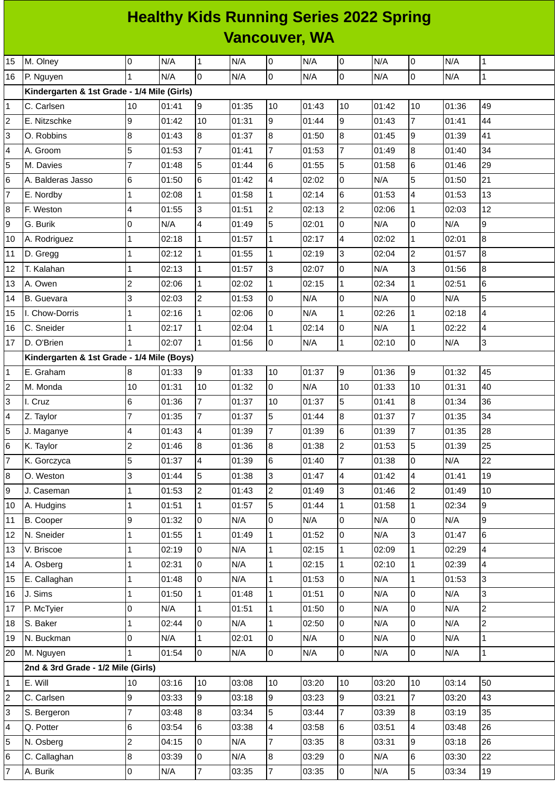## **Healthy Kids Running Series 2022 Spring Vancouver, WA**

| 15             | M. Olney                                    | Iо                       | N/A   | $\mathbf{1}$   | N/A   | $\mathsf 0$      | N/A   | 0              | N/A   | $\overline{0}$          | N/A   | $\mathbf{1}$   |
|----------------|---------------------------------------------|--------------------------|-------|----------------|-------|------------------|-------|----------------|-------|-------------------------|-------|----------------|
| 16             | P. Nguyen                                   | $\mathbf{1}$             | N/A   | $\overline{0}$ | N/A   | $\mathsf 0$      | N/A   | 0              | N/A   | $\overline{0}$          | N/A   | 1              |
|                | Kindergarten & 1st Grade - 1/4 Mile (Girls) |                          |       |                |       |                  |       |                |       |                         |       |                |
| $\mathbf 1$    | C. Carlsen                                  | 10                       | 01:41 | 9              | 01:35 | 10               | 01:43 | 10             | 01:42 | 10                      | 01:36 | 49             |
| $\overline{c}$ | E. Nitzschke                                | 9                        | 01:42 | 10             | 01:31 | 9                | 01:44 | $\overline{9}$ | 01:43 | $\overline{7}$          | 01:41 | 44             |
| 3              | O. Robbins                                  | $\, 8$                   | 01:43 | 8              | 01:37 | $\boldsymbol{8}$ | 01:50 | 8              | 01:45 | 9                       | 01:39 | 41             |
| 4              | A. Groom                                    | 5                        | 01:53 | $\overline{7}$ | 01:41 | $\overline{7}$   | 01:53 | $\overline{7}$ | 01:49 | 8                       | 01:40 | 34             |
| 5              | M. Davies                                   | 7                        | 01:48 | 5              | 01:44 | $\,6$            | 01:55 | 5              | 01:58 | 6                       | 01:46 | 29             |
| 6              | A. Balderas Jasso                           | 6                        | 01:50 | 6              | 01:42 | 4                | 02:02 | 0              | N/A   | 5                       | 01:50 | 21             |
| $\overline{7}$ | E. Nordby                                   | $\mathbf{1}$             | 02:08 | $\mathbf{1}$   | 01:58 | $\mathbf{1}$     | 02:14 | 6              | 01:53 | 4                       | 01:53 | 13             |
| 8              | F. Weston                                   | $\overline{\mathcal{L}}$ | 01:55 | 3              | 01:51 | $\overline{c}$   | 02:13 | $\overline{c}$ | 02:06 | $\mathbf 1$             | 02:03 | 12             |
| 9              | G. Burik                                    | $\overline{0}$           | N/A   | 4              | 01:49 | 5                | 02:01 | 0              | N/A   | $\mathsf{O}\xspace$     | N/A   | 9              |
| 10             | A. Rodriguez                                | 1                        | 02:18 | $\mathbf{1}$   | 01:57 | $\mathbf{1}$     | 02:17 | 4              | 02:02 | $\mathbf 1$             | 02:01 | 8              |
| $11\,$         | D. Gregg                                    | 1                        | 02:12 | $\mathbf 1$    | 01:55 | $\mathbf{1}$     | 02:19 | 3              | 02:04 | $\overline{c}$          | 01:57 | 8              |
| 12             | T. Kalahan                                  | $\mathbf 1$              | 02:13 | $\mathbf{1}$   | 01:57 | 3                | 02:07 | $\overline{0}$ | N/A   | 3                       | 01:56 | 8              |
| 13             | A. Owen                                     | $\overline{c}$           | 02:06 | $\mathbf{1}$   | 02:02 | $\mathbf{1}$     | 02:15 | $\mathbf 1$    | 02:34 | $\mathbf 1$             | 02:51 | 6              |
| 14             | <b>B.</b> Guevara                           | 3                        | 02:03 | $\overline{c}$ | 01:53 | $\mathsf 0$      | N/A   | 0              | N/A   | 0                       | N/A   | 5              |
| 15             | I. Chow-Dorris                              | 1                        | 02:16 | $\mathbf{1}$   | 02:06 | $\pmb{0}$        | N/A   | $\mathbf 1$    | 02:26 | $\mathbf 1$             | 02:18 | $\overline{4}$ |
| 16             | C. Sneider                                  | 1                        | 02:17 | $\mathbf 1$    | 02:04 | $\mathbf 1$      | 02:14 | O              | N/A   | $\mathbf 1$             | 02:22 | 4              |
| 17             | D. O'Brien                                  |                          | 02:07 | $\mathbf{1}$   | 01:56 | 0                | N/A   | $\mathbf{1}$   | 02:10 | $\mathsf{O}\xspace$     | N/A   | 3              |
|                | Kindergarten & 1st Grade - 1/4 Mile (Boys)  |                          |       |                |       |                  |       |                |       |                         |       |                |
| 1              | E. Graham                                   | 8                        | 01:33 | 9              | 01:33 | 10               | 01:37 | $\overline{9}$ | 01:36 | 9                       | 01:32 | 45             |
| $\overline{c}$ | M. Monda                                    | 10                       | 01:31 | 10             | 01:32 | $\overline{0}$   | N/A   | 10             | 01:33 | $10\,$                  | 01:31 | 40             |
| 3              | I. Cruz                                     | 6                        | 01:36 | $\overline{7}$ | 01:37 | 10               | 01:37 | 5              | 01:41 | 8                       | 01:34 | 36             |
| 4              | Z. Taylor                                   | $\overline{7}$           | 01:35 | $\overline{7}$ | 01:37 | 5                | 01:44 | 8              | 01:37 | $\overline{7}$          | 01:35 | 34             |
| 5              | J. Maganye                                  | 4                        | 01:43 | 4              | 01:39 | $\overline{7}$   | 01:39 | 6              | 01:39 | $\overline{7}$          | 01:35 | 28             |
| 6              | K. Taylor                                   | $\overline{c}$           | 01:46 | 8              | 01:36 | 8                | 01:38 | $\overline{2}$ | 01:53 | 5                       | 01:39 | 25             |
| $\overline{7}$ | K. Gorczyca                                 | 5                        | 01:37 | $\overline{4}$ | 01:39 | $6\phantom{a}$   | 01:40 | $\overline{7}$ | 01:38 | lo                      | N/A   | 22             |
| 8              | O. Weston                                   | 3                        | 01:44 | 5              | 01:38 | 3                | 01:47 | $\overline{4}$ | 01:42 | $\overline{\mathbf{4}}$ | 01:41 | 19             |
| 9              | J. Caseman                                  | $\mathbf 1$              | 01:53 | $\overline{c}$ | 01:43 | $\overline{2}$   | 01:49 | 3              | 01:46 | $\overline{c}$          | 01:49 | 10             |
| 10             | A. Hudgins                                  | $\mathbf 1$              | 01:51 | $\mathbf{1}$   | 01:57 | 5                | 01:44 | $\mathbf 1$    | 01:58 | $\mathbf{1}$            | 02:34 | 9              |
| 11             | B. Cooper                                   | 9                        | 01:32 | O              | N/A   | 0                | N/A   | 0              | N/A   | 0                       | N/A   | 9              |
| 12             | N. Sneider                                  | 1                        | 01:55 | $\mathbf{1}$   | 01:49 | $\mathbf{1}$     | 01:52 | 0              | N/A   | 3                       | 01:47 | 6              |
| 13             | V. Briscoe                                  | 1                        | 02:19 | l0             | N/A   | $\mathbf{1}$     | 02:15 | $\mathbf{1}$   | 02:09 | $\mathbf{1}$            | 02:29 | $\overline{4}$ |
| 14             | A. Osberg                                   | $\mathbf 1$              | 02:31 | $\overline{0}$ | N/A   | $\mathbf{1}$     | 02:15 | $\mathbf{1}$   | 02:10 | $\mathbf 1$             | 02:39 | 4              |
| 15             | E. Callaghan                                | 1                        | 01:48 | $\mathsf{O}$   | N/A   | $\mathbf{1}$     | 01:53 | 0              | N/A   | $\mathbf{1}$            | 01:53 | 3              |
| 16             | J. Sims                                     | 1                        | 01:50 | $\mathbf{1}$   | 01:48 | $\mathbf{1}$     | 01:51 | 0              | N/A   | 0                       | N/A   | 3              |
| 17             | P. McTyier                                  | 0                        | N/A   | $\mathbf{1}$   | 01:51 | $\mathbf{1}$     | 01:50 | 0              | N/A   | 0                       | N/A   | $\overline{c}$ |
| 18             | S. Baker                                    | $\mathbf{1}$             | 02:44 | $\overline{0}$ | N/A   | $\overline{1}$   | 02:50 | $\overline{0}$ | N/A   | 0                       | N/A   | $\overline{2}$ |
| 19             | N. Buckman                                  | O                        | N/A   | $\mathbf{1}$   | 02:01 | $\overline{0}$   | N/A   | 0              | N/A   | 0                       | N/A   | 1              |
| 20             | M. Nguyen                                   | 1                        | 01:54 | $\overline{0}$ | N/A   | $\overline{0}$   | N/A   | 0              | N/A   | $\mathsf 0$             | N/A   | $\mathbf 1$    |
|                | 2nd & 3rd Grade - 1/2 Mile (Girls)          |                          |       |                |       |                  |       |                |       |                         |       |                |
| $\mathbf{1}$   | E. Will                                     | 10                       | 03:16 | 10             | 03:08 | 10               | 03:20 | 10             | 03:20 | 10                      | 03:14 | 50             |
| $\overline{c}$ | C. Carlsen                                  | 9                        | 03:33 | 9              | 03:18 | $\overline{9}$   | 03:23 | $\overline{9}$ | 03:21 | $\overline{7}$          | 03:20 | 43             |
| 3              | S. Bergeron                                 | $\overline{7}$           | 03:48 | 8              | 03:34 | 5                | 03:44 | $\overline{7}$ | 03:39 | 8                       | 03:19 | 35             |
| 4              | Q. Potter                                   | $6\phantom{.}6$          | 03:54 | 6              | 03:38 | 4                | 03:58 | 6              | 03:51 | 4                       | 03:48 | 26             |
| 5              | N. Osberg                                   | $\overline{c}$           | 04:15 | $\overline{0}$ | N/A   | $\overline{7}$   | 03:35 | 8              | 03:31 | 9                       | 03:18 | 26             |
| 6              | C. Callaghan                                | $\bf{8}$                 | 03:39 | O              | N/A   | 8                | 03:29 | 0              | N/A   | 6                       | 03:30 | 22             |
| $\overline{7}$ | A. Burik                                    | O                        | N/A   | $\overline{7}$ | 03:35 | $\overline{7}$   | 03:35 | 0              | N/A   | 5                       | 03:34 | 19             |
|                |                                             |                          |       |                |       |                  |       |                |       |                         |       |                |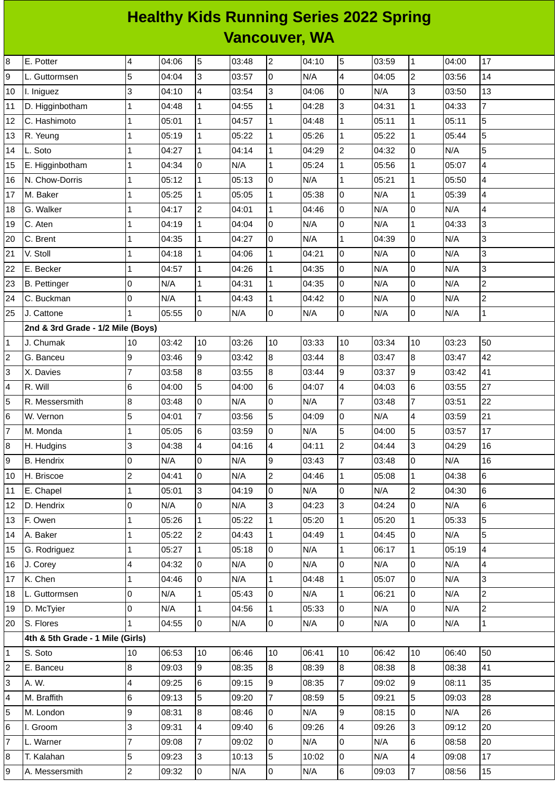## **Healthy Kids Running Series 2022 Spring Vancouver, WA**

| 8  | E. Potter                         | 4              | 04:06 | 5                       | 03:48 | $\overline{c}$ | 04:10 | 5              | 03:59 | $\mathbf 1$         | 04:00 | 17              |
|----|-----------------------------------|----------------|-------|-------------------------|-------|----------------|-------|----------------|-------|---------------------|-------|-----------------|
| 9  | L. Guttormsen                     | 5              | 04:04 | $\overline{3}$          | 03:57 | 0              | N/A   | 4              | 04:05 | $\mathbf{2}$        | 03:56 | 14              |
| 10 | I. Iniguez                        | 3              | 04:10 | $\overline{4}$          | 03:54 | 3              | 04:06 | 0              | N/A   | 3                   | 03:50 | 13              |
| 11 | D. Higginbotham                   | 1              | 04:48 | $\mathbf{1}$            | 04:55 | $\mathbf{1}$   | 04:28 | 3              | 04:31 | $\mathbf 1$         | 04:33 | $\overline{7}$  |
| 12 | C. Hashimoto                      | 1              | 05:01 | $\mathbf{1}$            | 04:57 | $\mathbf{1}$   | 04:48 | $\mathbf{1}$   | 05:11 | $\mathbf 1$         | 05:11 | 5               |
| 13 | R. Yeung                          | $\mathbf 1$    | 05:19 | $\mathbf{1}$            | 05:22 | $\mathbf{1}$   | 05:26 | $\mathbf 1$    | 05:22 | $\mathbf 1$         | 05:44 | 5               |
| 14 | L. Soto                           | 1              | 04:27 | $\mathbf{1}$            | 04:14 | $\mathbf{1}$   | 04:29 | $\overline{c}$ | 04:32 | 0                   | N/A   | 5               |
| 15 | E. Higginbotham                   | 1              | 04:34 | 0                       | N/A   | $\mathbf{1}$   | 05:24 | $\mathbf 1$    | 05:56 | $\mathbf 1$         | 05:07 | $\overline{4}$  |
| 16 | N. Chow-Dorris                    | $\mathbf{1}$   | 05:12 | $\mathbf{1}$            | 05:13 | 0              | N/A   | $\mathbf{1}$   | 05:21 | $\overline{1}$      | 05:50 | $\overline{4}$  |
| 17 | M. Baker                          | 1              | 05:25 | $\mathbf{1}$            | 05:05 | $\mathbf{1}$   | 05:38 | 0              | N/A   | $\mathbf 1$         | 05:39 | 4               |
| 18 | G. Walker                         | 1              | 04:17 | $\overline{c}$          | 04:01 | $\mathbf{1}$   | 04:46 | 0              | N/A   | $\mathbf 0$         | N/A   | 4               |
| 19 | C. Aten                           | 1              | 04:19 | $\mathbf{1}$            | 04:04 | 0              | N/A   | $\mathsf 0$    | N/A   | $\overline{1}$      | 04:33 | 3               |
| 20 | C. Brent                          | 1              | 04:35 | $\mathbf{1}$            | 04:27 | 0              | N/A   | $\mathbf 1$    | 04:39 | 0                   | N/A   | 3               |
| 21 | V. Stoll                          | 1              | 04:18 | $\mathbf{1}$            | 04:06 | $\mathbf{1}$   | 04:21 | 0              | N/A   | 0                   | N/A   | 3               |
| 22 | E. Becker                         | 1              | 04:57 | $\mathbf{1}$            | 04:26 | $\mathbf{1}$   | 04:35 | $\mathsf 0$    | N/A   | $\mathbf 0$         | N/A   | 3               |
| 23 | <b>B.</b> Pettinger               | 0              | N/A   | $\mathbf 1$             | 04:31 | $\mathbf 1$    | 04:35 | $\overline{0}$ | N/A   | $\mathsf 0$         | N/A   | $\overline{c}$  |
| 24 | C. Buckman                        | 0              | N/A   | $\mathbf{1}$            | 04:43 | $\mathbf{1}$   | 04:42 | 0              | N/A   | $\mathbf 0$         | N/A   | $\overline{c}$  |
| 25 | J. Cattone                        | 1              | 05:55 | lo                      | N/A   | 0              | N/A   | 0              | N/A   | 0                   | N/A   | $\mathbf{1}$    |
|    | 2nd & 3rd Grade - 1/2 Mile (Boys) |                |       |                         |       |                |       |                |       |                     |       |                 |
| 1  | J. Chumak                         | 10             | 03:42 | 10                      | 03:26 | 10             | 03:33 | 10             | 03:34 | 10                  | 03:23 | 50              |
| 2  | G. Banceu                         | 9              | 03:46 | 9                       | 03:42 | 8              | 03:44 | $\bf{8}$       | 03:47 | 8                   | 03:47 | 42              |
| 3  | X. Davies                         | 7              | 03:58 | $\bf{8}$                | 03:55 | 8              | 03:44 | 9              | 03:37 | 9                   | 03:42 | 41              |
| 4  | R. Will                           | 6              | 04:00 | 5                       | 04:00 | 6              | 04:07 | $\pmb{4}$      | 04:03 | 6                   | 03:55 | 27              |
| 5  | R. Messersmith                    | 8              | 03:48 | 0                       | N/A   | 0              | N/A   | $\overline{7}$ | 03:48 | $\overline{7}$      | 03:51 | 22              |
| 6  | W. Vernon                         | 5              | 04:01 | $\overline{7}$          | 03:56 | 5              | 04:09 | $\mathsf 0$    | N/A   | 4                   | 03:59 | 21              |
| 7  | M. Monda                          | 1              | 05:05 | $6\phantom{.}6$         | 03:59 | 0              | N/A   | 5              | 04:00 | 5                   | 03:57 | 17              |
| 8  | H. Hudgins                        | 3              | 04:38 | $\overline{\mathbf{4}}$ | 04:16 | 4              | 04:11 | $\overline{c}$ | 04:44 | 3                   | 04:29 | 16              |
| 9  | <b>B.</b> Hendrix                 | 0              | N/A   | l0                      | N/A   | 9              | 03:43 | $\overline{7}$ | 03:48 | $\mathbf 0$         | N/A   | 16              |
| 10 | H. Briscoe                        | $\overline{c}$ | 04:41 | Iо                      | N/A   | $\overline{c}$ | 04:46 | $\mathbf{1}$   | 05:08 | $\mathbf 1$         | 04:38 | 6               |
| 11 | E. Chapel                         | $\mathbf{1}$   | 05:01 | Iз                      | 04:19 | 0              | N/A   | 0              | N/A   | $\overline{c}$      | 04:30 | $6\overline{6}$ |
| 12 | D. Hendrix                        | 0              | N/A   | Iо                      | N/A   | 3              | 04:23 | 3              | 04:24 | 0                   | N/A   | $6\phantom{a}$  |
| 13 | F. Owen                           | 1              | 05:26 | $\overline{1}$          | 05:22 | $\mathbf{1}$   | 05:20 | $\mathbf{1}$   | 05:20 | $\mathbf 1$         | 05:33 | 5               |
| 14 | A. Baker                          | $\mathbf{1}$   | 05:22 | $\overline{2}$          | 04:43 | $\mathbf{1}$   | 04:49 | $\mathbf{1}$   | 04:45 | $\mathsf{O}\xspace$ | N/A   | 5               |
| 15 | G. Rodriguez                      | 1              | 05:27 | $\overline{1}$          | 05:18 | 0              | N/A   | $\mathbf{1}$   | 06:17 | $\mathbf{1}$        | 05:19 | $\overline{4}$  |
| 16 | J. Corey                          | 4              | 04:32 | Iо                      | N/A   | 0              | N/A   | 0              | N/A   | 0                   | N/A   | 4               |
| 17 | K. Chen                           | $\mathbf{1}$   | 04:46 | lo                      | N/A   | $\mathbf{1}$   | 04:48 | $\mathbf 1$    | 05:07 | 0                   | N/A   | 3               |
| 18 | L. Guttormsen                     | 0              | N/A   | $\mathbf 1$             | 05:43 | 0              | N/A   | $\mathbf{1}$   | 06:21 | 0                   | N/A   | $\overline{c}$  |
| 19 | D. McTyier                        | 0              | N/A   | $\mathbf{1}$            | 04:56 | $\mathbf{1}$   | 05:33 | 0              | N/A   | 0                   | N/A   | $\overline{2}$  |
| 20 | S. Flores                         | $\mathbf{1}$   | 04:55 | Iо                      | N/A   | 0              | N/A   | 0              | N/A   | 0                   | N/A   | $\mathbf{1}$    |
|    | 4th & 5th Grade - 1 Mile (Girls)  |                |       |                         |       |                |       |                |       |                     |       |                 |
| 1  | S. Soto                           | 10             | 06:53 | 10                      | 06:46 | 10             | 06:41 | 10             | 06:42 | $10\,$              | 06:40 | 50              |
| 2  | E. Banceu                         | 8              | 09:03 | 9                       | 08:35 | 8              | 08:39 | 8              | 08:38 | 8                   | 08:38 | 41              |
| 3  | A. W.                             | 4              | 09:25 | 6                       | 09:15 | 9              | 08:35 | $\overline{7}$ | 09:02 | 9                   | 08:11 | 35              |
| 4  | M. Braffith                       | 6              | 09:13 | 5                       | 09:20 | $\overline{7}$ | 08:59 | 5              | 09:21 | 5                   | 09:03 | 28              |
| 5  | M. London                         | 9              | 08:31 | 8                       | 08:46 | 0              | N/A   | 9              | 08:15 | 0                   | N/A   | 26              |
| 6  | I. Groom                          | 3              | 09:31 | $\overline{4}$          | 09:40 | 6              | 09:26 | 4              | 09:26 | 3                   | 09:12 | 20              |
| 7  | L. Warner                         | 7              | 09:08 | $\overline{7}$          | 09:02 | 0              | N/A   | 0              | N/A   | 6                   | 08:58 | 20              |
| 8  | T. Kalahan                        | 5              | 09:23 | Iз                      | 10:13 | 5              | 10:02 | 0              | N/A   | 4                   | 09:08 | 17              |
| 9  | A. Messersmith                    | $\overline{c}$ | 09:32 | lo.                     | N/A   | 0              | N/A   | 6              | 09:03 | $\overline{7}$      | 08:56 | 15              |
|    |                                   |                |       |                         |       |                |       |                |       |                     |       |                 |